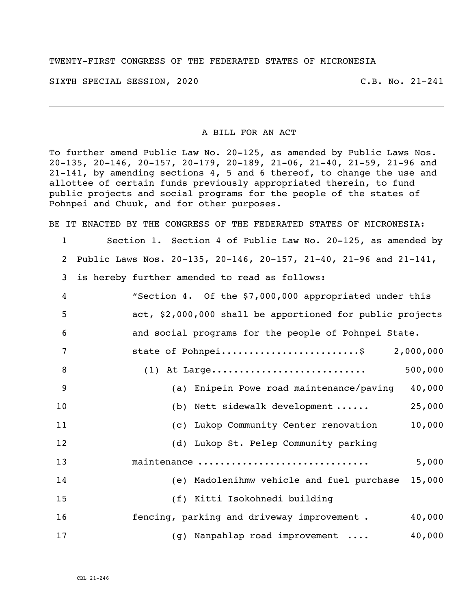## TWENTY-FIRST CONGRESS OF THE FEDERATED STATES OF MICRONESIA

SIXTH SPECIAL SESSION, 2020 C.B. No. 21-241

## A BILL FOR AN ACT

To further amend Public Law No. 20-125, as amended by Public Laws Nos. 20-135, 20-146, 20-157, 20-179, 20-189, 21-06, 21-40, 21-59, 21-96 and 21-141, by amending sections 4, 5 and 6 thereof, to change the use and allottee of certain funds previously appropriated therein, to fund public projects and social programs for the people of the states of Pohnpei and Chuuk, and for other purposes.

BE IT ENACTED BY THE CONGRESS OF THE FEDERATED STATES OF MICRONESIA:

 Section 1. Section 4 of Public Law No. 20-125, as amended by Public Laws Nos. 20-135, 20-146, 20-157, 21-40, 21-96 and 21-141, is hereby further amended to read as follows: "Section 4. Of the \$7,000,000 appropriated under this act, \$2,000,000 shall be apportioned for public projects and social programs for the people of Pohnpei State. 7 state of Pohnpei..............................\$ 2,000,000 (1) At Large............................ 500,000 (a) Enipein Powe road maintenance/paving 40,000 (b) Nett sidewalk development ...... 25,000 (c) Lukop Community Center renovation 10,000 (d) Lukop St. Pelep Community parking maintenance ............................... 5,000 (e) Madolenihmw vehicle and fuel purchase 15,000 (f) Kitti Isokohnedi building **fencing, parking and driveway improvement .** 40,000 (g) Nanpahlap road improvement .... 40,000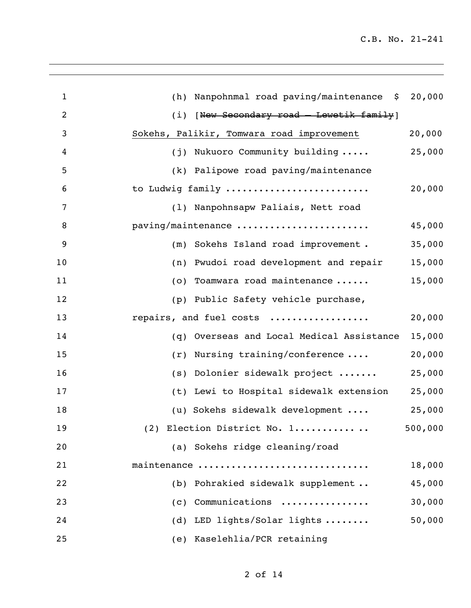| $\mathbf 1$    | (h) Nanpohnmal road paving/maintenance \$ 20,000 |         |
|----------------|--------------------------------------------------|---------|
| $\overline{2}$ | [New Secondary road - Lewetik family]<br>(i)     |         |
| 3              | Sokehs, Palikir, Tomwara road improvement        | 20,000  |
| 4              | (j) Nukuoro Community building                   | 25,000  |
| 5              | (k) Palipowe road paving/maintenance             |         |
| 6              | to Ludwig family                                 | 20,000  |
| 7              | (1) Nanpohnsapw Paliais, Nett road               |         |
| 8              | paving/maintenance                               | 45,000  |
| 9              | Sokehs Island road improvement.<br>(m)           | 35,000  |
| 10             | Pwudoi road development and repair<br>(n)        | 15,000  |
| 11             | (o) Toamwara road maintenance                    | 15,000  |
| 12             | (p) Public Safety vehicle purchase,              |         |
| 13             | repairs, and fuel costs                          | 20,000  |
| 14             | Overseas and Local Medical Assistance<br>(q)     | 15,000  |
| 15             | $(r)$ Nursing training/conference                | 20,000  |
| 16             | (s) Dolonier sidewalk project                    | 25,000  |
| 17             | (t) Lewi to Hospital sidewalk extension          | 25,000  |
| 18             | (u) Sokehs sidewalk development                  | 25,000  |
| 19             | (2) Election District No. 1                      | 500,000 |
| 20             | (a) Sokehs ridge cleaning/road                   |         |
| 21             | maintenance                                      | 18,000  |
| 22             | (b) Pohrakied sidewalk supplement                | 45,000  |
| 23             | $(c)$ Communications                             | 30,000  |
| 24             | (d) LED lights/Solar lights                      | 50,000  |
| 25             | (e) Kaselehlia/PCR retaining                     |         |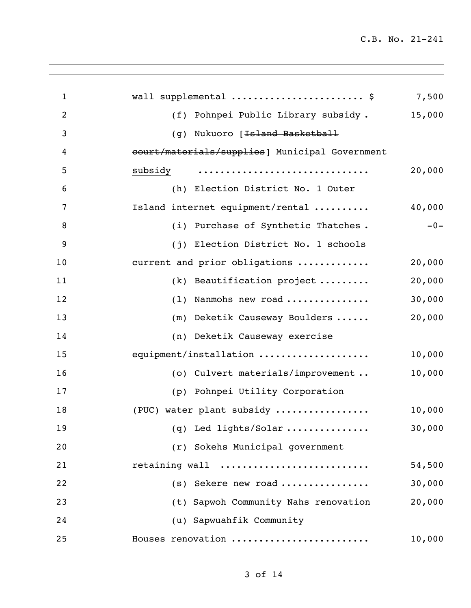| $\mathbf{1}$   | wall supplemental  \$                          | 7,500  |
|----------------|------------------------------------------------|--------|
| $\overline{2}$ | (f) Pohnpei Public Library subsidy.            | 15,000 |
| 3              | (g) Nukuoro [ <del>Island Basketball</del>     |        |
| 4              | court/materials/supplies] Municipal Government |        |
| 5              | subsidy                                        | 20,000 |
| 6              | (h) Election District No. 1 Outer              |        |
| 7              | Island internet equipment/rental               | 40,000 |
| 8              | (i) Purchase of Synthetic Thatches.            | $-0-$  |
| 9              | (j) Election District No. 1 schools            |        |
| 10             | current and prior obligations                  | 20,000 |
| 11             | $(k)$ Beautification project                   | 20,000 |
| 12             | (1) Nanmohs new road                           | 30,000 |
| 13             | (m) Deketik Causeway Boulders                  | 20,000 |
| 14             | (n) Deketik Causeway exercise                  |        |
| 15             | equipment/installation                         | 10,000 |
| 16             | (o) Culvert materials/improvement              | 10,000 |
| 17             | (p) Pohnpei Utility Corporation                |        |
| 18             | (PUC) water plant subsidy                      | 10,000 |
| 19             | (q) Led lights/Solar                           | 30,000 |
| 20             | (r) Sokehs Municipal government                |        |
| 21             | retaining wall                                 | 54,500 |
| 22             | $(s)$ Sekere new road                          | 30,000 |
| 23             | (t) Sapwoh Community Nahs renovation           | 20,000 |
| 24             | (u) Sapwuahfik Community                       |        |
| 25             | Houses renovation                              | 10,000 |
|                |                                                |        |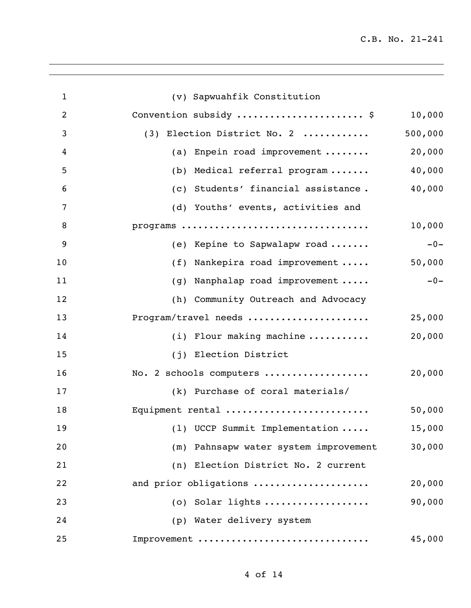| $\mathbf{1}$   | (v) Sapwuahfik Constitution                     |         |
|----------------|-------------------------------------------------|---------|
| $\overline{2}$ | Convention subsidy  \$                          | 10,000  |
| 3              | (3) Election District No. 2                     | 500,000 |
| 4              | (a) Enpein road improvement                     | 20,000  |
| 5              | (b) Medical referral program                    | 40,000  |
| 6              | (c) Students' financial assistance.             | 40,000  |
| 7              | (d) Youths' events, activities and              |         |
| 8              | programs                                        | 10,000  |
| 9              | (e) Kepine to Sapwalapw road                    | $-0-$   |
| 10             | (f) Nankepira road improvement                  | 50,000  |
| 11             | (g) Nanphalap road improvement                  | $-0-$   |
| 12             | (h) Community Outreach and Advocacy             |         |
| 13             | Program/travel needs                            | 25,000  |
| 14             | (i) Flour making machine $\ldots \ldots \ldots$ | 20,000  |
| 15             | (j) Election District                           |         |
| 16             | No. 2 schools computers                         | 20,000  |
| 17             | (k) Purchase of coral materials/                |         |
| 18             | Equipment rental                                | 50,000  |
| 19             | (1) UCCP Summit Implementation                  | 15,000  |
| 20             | (m) Pahnsapw water system improvement           | 30,000  |
| 21             | (n) Election District No. 2 current             |         |
| 22             | and prior obligations                           | 20,000  |
| 23             | $(0)$ Solar lights                              | 90,000  |
| 24             | (p) Water delivery system                       |         |
| 25             | Improvement                                     | 45,000  |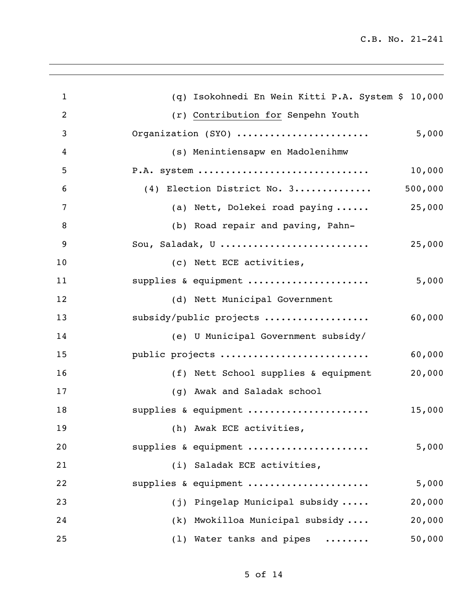| $\mathbf{1}$   | (q) Isokohnedi En Wein Kitti P.A. System \$ 10,000 |
|----------------|----------------------------------------------------|
| $\overline{2}$ | (r) Contribution for Senpehn Youth                 |
| 3              | Organization (SYO)<br>5,000                        |
| 4              | (s) Menintiensapw en Madolenihmw                   |
| 5              | $P.A.$ system<br>10,000                            |
| 6              | 500,000<br>(4) Election District No. 3             |
| 7              | 25,000<br>(a) Nett, Dolekei road paying            |
| 8              | (b) Road repair and paving, Pahn-                  |
| 9              | Sou, Saladak, U<br>25,000                          |
| 10             | (c) Nett ECE activities,                           |
| 11             | supplies & equipment<br>5,000                      |
| 12             | (d) Nett Municipal Government                      |
| 13             | subsidy/public projects<br>60,000                  |
| 14             | (e) U Municipal Government subsidy/                |
| 15             | public projects<br>60,000                          |
| 16             | 20,000<br>(f) Nett School supplies & equipment     |
| 17             | (g) Awak and Saladak school                        |
| 18             | supplies & equipment<br>15,000                     |
| 19             | (h) Awak ECE activities,                           |
| 20             | supplies & equipment<br>5,000                      |
| 21             | (i) Saladak ECE activities,                        |
| 22             | supplies & equipment<br>5,000                      |
| 23             | (j) Pingelap Municipal subsidy<br>20,000           |
| 24             | (k) Mwokilloa Municipal subsidy<br>20,000          |
| 25             | (1) Water tanks and pipes<br>50,000                |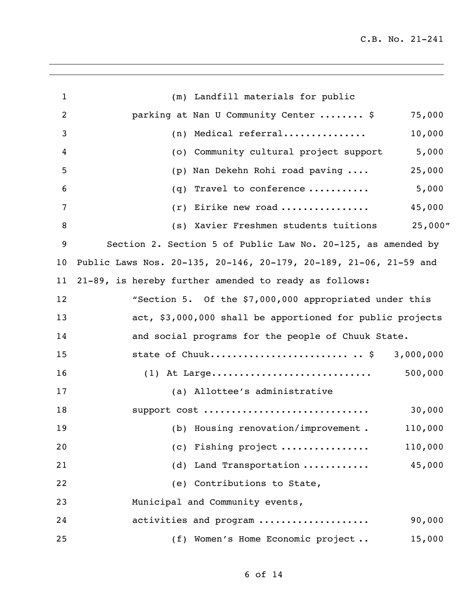| 1  | (m) Landfill materials for public                                 |           |
|----|-------------------------------------------------------------------|-----------|
| 2  | parking at Nan U Community Center  \$                             | 75,000    |
| 3  | Medical referral<br>(n)                                           | 10,000    |
| 4  | (o) Community cultural project support                            | 5,000     |
| 5  | Nan Dekehn Rohi road paving<br>(p)                                | 25,000    |
| 6  | Travel to conference<br>(q)                                       | 5,000     |
| 7  | Eirike new road<br>(r)                                            | 45,000    |
| 8  | (s) Xavier Freshmen students tuitions                             | 25,000"   |
| 9  | Section 2. Section 5 of Public Law No. 20-125, as amended by      |           |
| 10 | Public Laws Nos. 20-135, 20-146, 20-179, 20-189, 21-06, 21-59 and |           |
| 11 | 21-89, is hereby further amended to ready as follows:             |           |
| 12 | "Section 5. Of the \$7,000,000 appropriated under this            |           |
| 13 | act, \$3,000,000 shall be apportioned for public projects         |           |
| 14 | and social programs for the people of Chuuk State.                |           |
| 15 | state of Chuuk \$                                                 | 3,000,000 |
| 16 | $(1)$ At Large                                                    | 500,000   |
| 17 | (a) Allottee's administrative                                     |           |
| 18 | support cost                                                      | 30,000    |
| 19 | (b) Housing renovation/improvement. 110,000                       |           |
| 20 | (c) Fishing project                                               | 110,000   |
| 21 | (d) Land Transportation                                           | 45,000    |
| 22 | (e) Contributions to State,                                       |           |
| 23 | Municipal and Community events,                                   |           |
| 24 | activities and program                                            | 90,000    |
| 25 | (f) Women's Home Economic project                                 | 15,000    |
|    |                                                                   |           |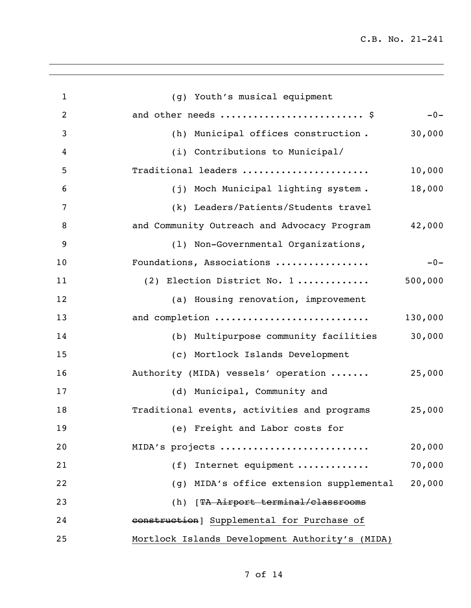| $\mathbf{1}$   | (g) Youth's musical equipment                         |
|----------------|-------------------------------------------------------|
| $\overline{2}$ | and other needs  \$<br>$-0-$                          |
| 3              | 30,000<br>(h) Municipal offices construction.         |
| 4              | (i) Contributions to Municipal/                       |
| 5              | Traditional leaders<br>10,000                         |
| 6              | 18,000<br>(j) Moch Municipal lighting system.         |
| 7              | (k) Leaders/Patients/Students travel                  |
| 8              | 42,000<br>and Community Outreach and Advocacy Program |
| 9              | (1) Non-Governmental Organizations,                   |
| 10             | Foundations, Associations<br>$-0-$                    |
| 11             | 500,000<br>(2) Election District No. 1                |
| 12             | (a) Housing renovation, improvement                   |
| 13             | and completion<br>130,000                             |
| 14             | 30,000<br>(b) Multipurpose community facilities       |
| 15             | (c) Mortlock Islands Development                      |
| 16             | 25,000<br>Authority (MIDA) vessels' operation         |
| 17             | (d) Municipal, Community and                          |
| 18             | 25,000<br>Traditional events, activities and programs |
| 19             | (e) Freight and Labor costs for                       |
| 20             | 20,000<br>MIDA's projects                             |
| 21             | 70,000<br>(f) Internet equipment                      |
| 22             | 20,000<br>(g) MIDA's office extension supplemental    |
| 23             | (h) [TA Airport terminal/classrooms                   |
| 24             | construction] Supplemental for Purchase of            |
| 25             | Mortlock Islands Development Authority's (MIDA)       |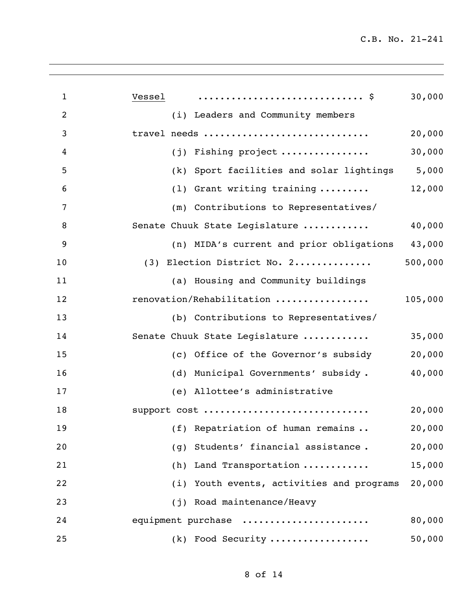| $\mathbf{1}$   | 30,000<br>Vessel                                     |
|----------------|------------------------------------------------------|
| $\overline{2}$ | (i) Leaders and Community members                    |
| 3              | travel needs<br>20,000                               |
| 4              | 30,000<br>Fishing project<br>(i)                     |
| 5              | 5,000<br>Sport facilities and solar lightings<br>(k) |
| 6              | (1) Grant writing training<br>12,000                 |
| 7              | (m) Contributions to Representatives/                |
| 8              | Senate Chuuk State Legislature<br>40,000             |
| 9              | (n) MIDA's current and prior obligations<br>43,000   |
| 10             | 500,000<br>(3) Election District No. 2               |
| 11             | (a) Housing and Community buildings                  |
| 12             | renovation/Rehabilitation<br>105,000                 |
| 13             | (b) Contributions to Representatives/                |
| 14             | Senate Chuuk State Legislature<br>35,000             |
| 15             | (c) Office of the Governor's subsidy<br>20,000       |
| 16             | 40,000<br>(d) Municipal Governments' subsidy.        |
| 17             | (e) Allottee's administrative                        |
| 18             | 20,000<br>support cost                               |
| 19             | (f) Repatriation of human remains<br>20,000          |
| 20             | Students' financial assistance.<br>20,000<br>(g)     |
| 21             | (h) Land Transportation<br>15,000                    |
| 22             | (i) Youth events, activities and programs<br>20,000  |
| 23             | (j) Road maintenance/Heavy                           |
| 24             | equipment purchase<br>80,000                         |
| 25             | (k) Food Security<br>50,000                          |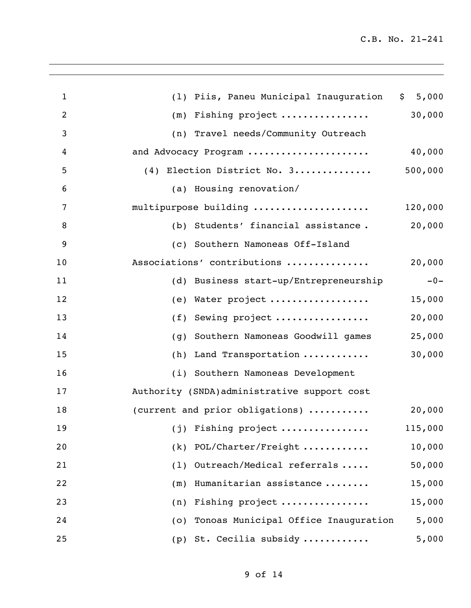| $\mathbf{1}$   | (1) Piis, Paneu Municipal Inauguration       | \$5,000 |
|----------------|----------------------------------------------|---------|
| $\overline{2}$ | $(m)$ Fishing project                        | 30,000  |
| $\mathfrak{Z}$ | (n) Travel needs/Community Outreach          |         |
| 4              | and Advocacy Program                         | 40,000  |
| 5              | (4) Election District No. 3                  | 500,000 |
| 6              | (a) Housing renovation/                      |         |
| 7              | multipurpose building                        | 120,000 |
| 8              | (b) Students' financial assistance.          | 20,000  |
| 9              | (c) Southern Namoneas Off-Island             |         |
| 10             | Associations' contributions                  | 20,000  |
| 11             | (d) Business start-up/Entrepreneurship       | $-0-$   |
| 12             | (e) Water project                            | 15,000  |
| 13             | Sewing project<br>(f)                        | 20,000  |
| 14             | Southern Namoneas Goodwill games<br>(g)      | 25,000  |
| 15             | Land Transportation<br>(h)                   | 30,000  |
| 16             | (i) Southern Namoneas Development            |         |
| 17             | Authority (SNDA) administrative support cost |         |
| 18             | (current and prior obligations)              | 20,000  |
| 19             | $(j)$ Fishing project                        | 115,000 |
| 20             | POL/Charter/Freight<br>(k)                   | 10,000  |
| 21             | Outreach/Medical referrals<br>(1)            | 50,000  |
| 22             | Humanitarian assistance<br>(m)               | 15,000  |
| 23             | Fishing project<br>(n)                       | 15,000  |
| 24             | Tonoas Municipal Office Inauguration<br>(0)  | 5,000   |
| 25             | (p) St. Cecilia subsidy                      | 5,000   |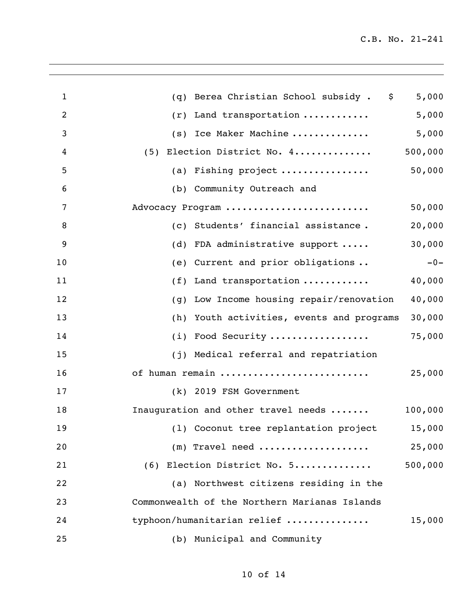| $\mathbf{1}$   | Berea Christian School subsidy . \$<br>(q)        | 5,000   |
|----------------|---------------------------------------------------|---------|
| $\overline{2}$ | Land transportation<br>(r)                        | 5,000   |
| 3              | (s) Ice Maker Machine                             | 5,000   |
| 4              | (5) Election District No. 4                       | 500,000 |
| 5              | (a) Fishing project $\ldots \ldots \ldots \ldots$ | 50,000  |
| 6              | (b) Community Outreach and                        |         |
| 7              | Advocacy Program                                  | 50,000  |
| 8              | (c) Students' financial assistance.               | 20,000  |
| 9              | FDA administrative support<br>(d)                 | 30,000  |
| 10             | Current and prior obligations<br>(e)              | $-0-$   |
| 11             | Land transportation<br>(f)                        | 40,000  |
| 12             | Low Income housing repair/renovation<br>(g)       | 40,000  |
| 13             | (h) Youth activities, events and programs         | 30,000  |
| 14             | (i) Food Security                                 | 75,000  |
| 15             | (j) Medical referral and repatriation             |         |
| 16             | of human remain                                   | 25,000  |
| 17             | (k) 2019 FSM Government                           |         |
| 18             | Inauguration and other travel needs               | 100,000 |
| 19             | (1) Coconut tree replantation project 15,000      |         |
| 20             | $(m)$ Travel need                                 | 25,000  |
| 21             | (6) Election District No. 5                       | 500,000 |
| 22             | (a) Northwest citizens residing in the            |         |
| 23             | Commonwealth of the Northern Marianas Islands     |         |
| 24             | typhoon/humanitarian relief                       | 15,000  |
| 25             | (b) Municipal and Community                       |         |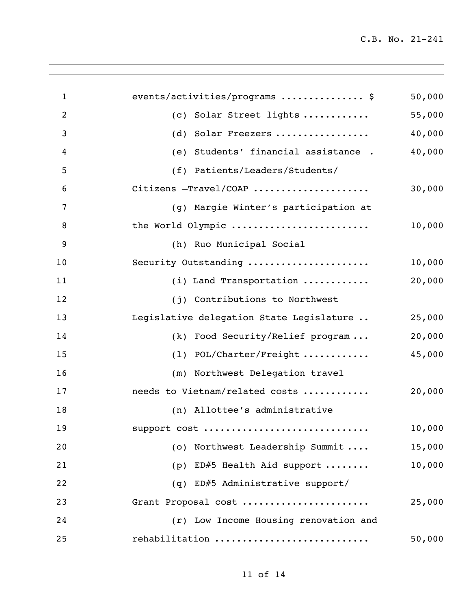| $\mathbf{1}$   | events/activities/programs  \$           | 50,000 |
|----------------|------------------------------------------|--------|
| $\overline{2}$ | (c) Solar Street lights                  | 55,000 |
| 3              | Solar Freezers<br>(d)                    | 40,000 |
| 4              | Students' financial assistance.<br>(e)   | 40,000 |
| 5              | (f) Patients/Leaders/Students/           |        |
| 6              | Citizens -Travel/COAP                    | 30,000 |
| 7              | (g) Margie Winter's participation at     |        |
| 8              | the World Olympic                        | 10,000 |
| 9              | (h) Ruo Municipal Social                 |        |
| 10             | Security Outstanding                     | 10,000 |
| 11             | (i) Land Transportation                  | 20,000 |
| 12             | (j) Contributions to Northwest           |        |
| 13             | Legislative delegation State Legislature | 25,000 |
| 14             | (k) Food Security/Relief program         | 20,000 |
| 15             | POL/Charter/Freight<br>(1)               | 45,000 |
| 16             | (m) Northwest Delegation travel          |        |
| 17             | needs to Vietnam/related costs           | 20,000 |
| 18             | (n) Allottee's administrative            |        |
| 19             | support cost                             | 10,000 |
| 20             | (o) Northwest Leadership Summit          | 15,000 |
| 21             | (p) ED#5 Health Aid support              | 10,000 |
| 22             | (q) ED#5 Administrative support/         |        |
| 23             | Grant Proposal cost                      | 25,000 |
| 24             | (r) Low Income Housing renovation and    |        |
| 25             | rehabilitation                           | 50,000 |
|                |                                          |        |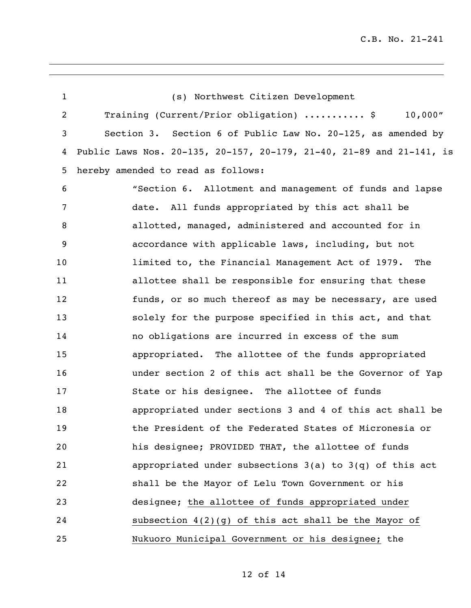| 1  | (s) Northwest Citizen Development                                    |
|----|----------------------------------------------------------------------|
| 2  | Training (Current/Prior obligation)  \$<br>$10,000$ "                |
| 3  | Section 3. Section 6 of Public Law No. 20-125, as amended by         |
| 4  | Public Laws Nos. 20-135, 20-157, 20-179, 21-40, 21-89 and 21-141, is |
| 5  | hereby amended to read as follows:                                   |
| 6  | "Section 6. Allotment and management of funds and lapse              |
| 7  | date. All funds appropriated by this act shall be                    |
| 8  | allotted, managed, administered and accounted for in                 |
| 9  | accordance with applicable laws, including, but not                  |
| 10 | limited to, the Financial Management Act of 1979. The                |
| 11 | allottee shall be responsible for ensuring that these                |
| 12 | funds, or so much thereof as may be necessary, are used              |
| 13 | solely for the purpose specified in this act, and that               |
| 14 | no obligations are incurred in excess of the sum                     |
| 15 | appropriated. The allottee of the funds appropriated                 |
| 16 | under section 2 of this act shall be the Governor of Yap             |
| 17 | State or his designee. The allottee of funds                         |
| 18 | appropriated under sections 3 and 4 of this act shall be             |
| 19 | the President of the Federated States of Micronesia or               |
| 20 | his designee; PROVIDED THAT, the allottee of funds                   |
| 21 | appropriated under subsections $3(a)$ to $3(q)$ of this act          |
| 22 | shall be the Mayor of Lelu Town Government or his                    |
| 23 | designee; the allottee of funds appropriated under                   |
| 24 | subsection $4(2)(g)$ of this act shall be the Mayor of               |
| 25 | Nukuoro Municipal Government or his designee; the                    |

of 14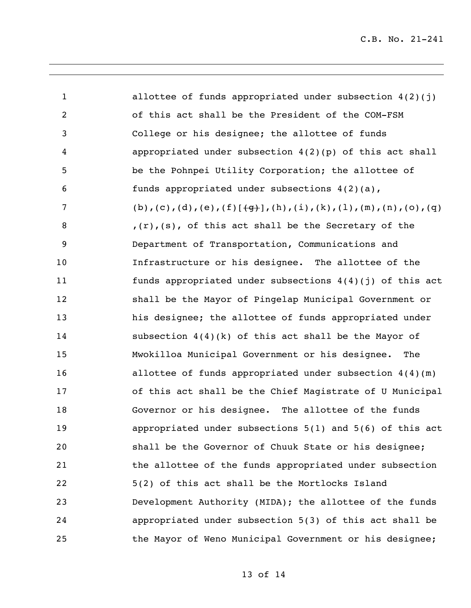| $\mathbf{1}$   | allottee of funds appropriated under subsection $4(2)(j)$                     |
|----------------|-------------------------------------------------------------------------------|
| $\overline{2}$ | of this act shall be the President of the COM-FSM                             |
| 3              | College or his designee; the allottee of funds                                |
| 4              | appropriated under subsection $4(2)(p)$ of this act shall                     |
| 5 <sup>5</sup> | be the Pohnpei Utility Corporation; the allottee of                           |
| 6              | funds appropriated under subsections $4(2)(a)$ ,                              |
| $\overline{7}$ | (b), (c), (d), (e), $(f[\frac{4}{3}, (h), (i), (k), (l), (m), (n), (o), (q))$ |
| 8              | $f(r)$ , (s), of this act shall be the Secretary of the                       |
| 9              | Department of Transportation, Communications and                              |
| 10             | Infrastructure or his designee. The allottee of the                           |
| 11             | funds appropriated under subsections $4(4)(j)$ of this act                    |
| 12             | shall be the Mayor of Pingelap Municipal Government or                        |
| 13             | his designee; the allottee of funds appropriated under                        |
| 14             | subsection $4(4)(k)$ of this act shall be the Mayor of                        |
| 15             | Mwokilloa Municipal Government or his designee.<br>The                        |
| 16             | allottee of funds appropriated under subsection $4(4)(m)$                     |
| 17             | of this act shall be the Chief Magistrate of U Municipal                      |
| 18             | Governor or his designee. The allottee of the funds                           |
| 19             | appropriated under subsections $5(1)$ and $5(6)$ of this act                  |
| 20             | shall be the Governor of Chuuk State or his designee;                         |
| 21             | the allottee of the funds appropriated under subsection                       |
| 22             | 5(2) of this act shall be the Mortlocks Island                                |
| 23             | Development Authority (MIDA); the allottee of the funds                       |
| 24             | appropriated under subsection 5(3) of this act shall be                       |
| 25             | the Mayor of Weno Municipal Government or his designee;                       |

of 14